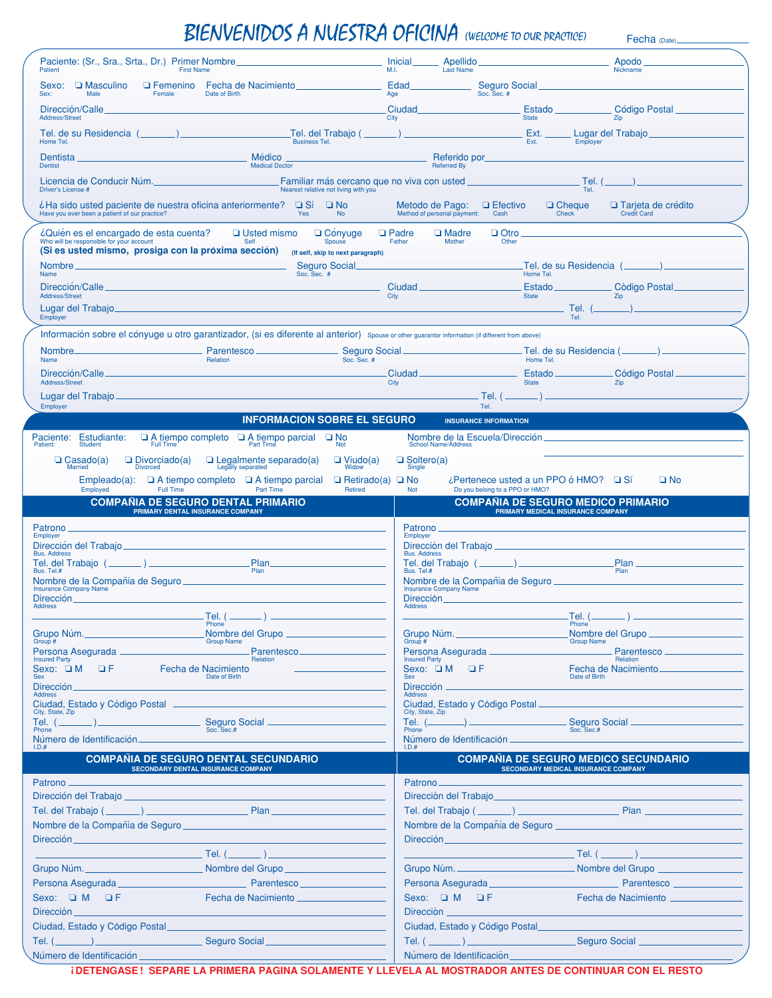## BIENVENIDOS A NUESTRA OFICINA (WELCOME TO OUR PRACTICE) Fecha (Date)

| Paciente: (Sr., Sra., Srta., Dr.) Primer Nombre.<br>Patient<br><b>First Name</b>                                                                           |                                                                                   | M.I.                                    | <b>Inicial</b><br>Apellido<br>Last Name                        |                                                                                       | Apodo<br><b>Nickname</b>                                                                                                                                                                                                            |  |
|------------------------------------------------------------------------------------------------------------------------------------------------------------|-----------------------------------------------------------------------------------|-----------------------------------------|----------------------------------------------------------------|---------------------------------------------------------------------------------------|-------------------------------------------------------------------------------------------------------------------------------------------------------------------------------------------------------------------------------------|--|
| Sexo: <b>Q</b> Masculino<br>Male<br>Sex:<br>Female                                                                                                         | <b>Example 2</b> Feeha de Nacimiento<br>Date of Birth                             | Age                                     | Edad                                                           | Seguro Social<br>Soc. Sec. #                                                          |                                                                                                                                                                                                                                     |  |
| Dirección/Calle                                                                                                                                            |                                                                                   |                                         | Ciudad                                                         | Estado                                                                                | <b>Código Postal</b>                                                                                                                                                                                                                |  |
| Address/Street<br>Tel. de su Residencia (                                                                                                                  | Tel. del Trabajo (                                                                | City                                    |                                                                | <b>State</b><br>Ext.                                                                  | Zip<br>Lugar del Trabaio                                                                                                                                                                                                            |  |
| Home Tel.                                                                                                                                                  | <b>Business Tel.</b>                                                              |                                         |                                                                | Ext.                                                                                  | Employer                                                                                                                                                                                                                            |  |
| Dentista<br>Dentist                                                                                                                                        | Médico<br><b>Medical Doctor</b>                                                   |                                         | Referido por<br><b>Referred By</b>                             |                                                                                       |                                                                                                                                                                                                                                     |  |
| Licencia de Conducir Núm.<br>Driver's License #                                                                                                            |                                                                                   | Nearest relative not living with you    | Familiar más cercano que no viva con usted _                   |                                                                                       | Tel. (<br>Tel.                                                                                                                                                                                                                      |  |
| ¿Ha sido usted paciente de nuestra oficina anteriormente? □ Sí □ No<br>Have you ever been a patient of our practice?                                       | Yes                                                                               | <b>No</b>                               | Metodo de Pago: Q Efectivo<br>Method of personal payment: Cash | $\Box$ Cheque<br>Check                                                                | □ Tarjeta de crédito<br>Credit Card                                                                                                                                                                                                 |  |
| ¿Quién es el encargado de esta cuenta?                                                                                                                     | <b>Usted mismo</b>                                                                | $\Box$ Convuge<br>$\Box$ Padre          | $\Box$ Madre                                                   | $\Box$ Otro                                                                           |                                                                                                                                                                                                                                     |  |
| Who will be responsible for your account<br>(Si es usted mismo, prosiga con la próxima sección) (If self, skip to next paragraph)                          | Self                                                                              | Spouse                                  | Father<br>Mother                                               | Other                                                                                 |                                                                                                                                                                                                                                     |  |
| Name                                                                                                                                                       | Soc. Sec. #                                                                       | Seguro Social_                          |                                                                | Tel. de su Residencia (.<br>Home Tel.                                                 |                                                                                                                                                                                                                                     |  |
| Dirección/Calle.<br>Address/Street                                                                                                                         |                                                                                   | City                                    | Ciudad                                                         | State                                                                                 | Estado Código Postal<br>Zip                                                                                                                                                                                                         |  |
| Lugar del Trabajo                                                                                                                                          |                                                                                   |                                         |                                                                |                                                                                       | Tel. $(\_\_)$                                                                                                                                                                                                                       |  |
| Employer                                                                                                                                                   |                                                                                   |                                         |                                                                | Tel.                                                                                  |                                                                                                                                                                                                                                     |  |
| Información sobre el cónyuge u otro garantizador, (si es diferente al anterior) Spouse or other guarantor information (if different from above)<br>Nombre. | Parentesco_                                                                       |                                         |                                                                | Tel. de su Residencia (_                                                              |                                                                                                                                                                                                                                     |  |
| Name                                                                                                                                                       | Relation                                                                          | Seguro Social<br>Soc. Sec. #            |                                                                | Home Tel.                                                                             |                                                                                                                                                                                                                                     |  |
| Dirección/Calle_<br>Address/Street                                                                                                                         |                                                                                   | City                                    | Ciudad <sub>—</sub>                                            | Estado <sub>-</sub><br><b>State</b>                                                   | Código Postal<br>Zip                                                                                                                                                                                                                |  |
| Lugar del Trabajo                                                                                                                                          |                                                                                   |                                         |                                                                | . Tel. ( <u></u>                                                                      |                                                                                                                                                                                                                                     |  |
| <b>Employer</b>                                                                                                                                            | <b>INFORMACION SOBRE EL SEGURO</b>                                                |                                         |                                                                | Tel.                                                                                  |                                                                                                                                                                                                                                     |  |
|                                                                                                                                                            |                                                                                   |                                         | Nombre de la Escuela/Dirección.                                | <b>INSURANCE INFORMATION</b>                                                          |                                                                                                                                                                                                                                     |  |
| Paciente: Estudiante:<br>Patient: Student                                                                                                                  | $\Box$ A tiempo completo $\Box$ A tiempo parcial $\Box$ Not $_{\text{Part Time}}$ |                                         | <b>School Name/Address</b>                                     |                                                                                       |                                                                                                                                                                                                                                     |  |
| $\Box$ Divorciado(a)<br>$\Box$ Casado(a)<br><b>Divorced</b><br>Married                                                                                     | $\Box$ Legalmente separado(a)                                                     | $\Box$ Viudo(a)<br>Widow                | $\Box$ Soltero(a)<br>Single                                    |                                                                                       |                                                                                                                                                                                                                                     |  |
| Empleado(a): $\Box$ A tiempo completo $\Box$ A tiempo parcial<br>Employed<br>Full Time                                                                     | Part Time                                                                         | $\Box$ Retirado(a) $\Box$ No<br>Retired | <b>Not</b>                                                     | $\lambda$ Pertenece usted a un PPO ó HMO? $\Box$ Sí<br>Do you belong to a PPO or HMO? | $\square$ No                                                                                                                                                                                                                        |  |
| <b>COMPAÑIA DE SEGURO DENTAL PRIMARIO</b>                                                                                                                  |                                                                                   |                                         |                                                                | <b>COMPAÑIA DE SEGURO MEDICO PRIMARIO</b>                                             |                                                                                                                                                                                                                                     |  |
| PRIMARY DENTAL INSURANCE COMPANY                                                                                                                           |                                                                                   |                                         |                                                                | PRIMARY MEDICAL INSURANCE COMPANY                                                     |                                                                                                                                                                                                                                     |  |
| Patrono<br><b>Employer</b>                                                                                                                                 |                                                                                   |                                         | Patrono<br>Employer                                            |                                                                                       |                                                                                                                                                                                                                                     |  |
| Dirección del Trabajo_<br><b>Bus. Address</b>                                                                                                              |                                                                                   |                                         | Dirección del Trabajo _<br><b>Bus. Address</b>                 |                                                                                       |                                                                                                                                                                                                                                     |  |
| Tel. del Trabajo (<br>Bus. Tel.#                                                                                                                           | Plan_<br>Plan                                                                     |                                         | Tel. del Trabajo (.<br>Bus. Tel.#                              |                                                                                       | Plan_<br>Plan                                                                                                                                                                                                                       |  |
| <b>Insurance Company Name</b>                                                                                                                              |                                                                                   |                                         | <b>Insurance Company Name</b>                                  |                                                                                       | Nombre de la Compañía de Seguro <b>en la contrata de Seguro</b> en la contrata de la contrata de la contrata de la contrata de la contrata de la contrata de la contrata de la contrata de la contrata de la contrata de la contrat |  |
| Dirección.<br><b>Address</b>                                                                                                                               |                                                                                   |                                         | Dirección<br><b>Address</b>                                    |                                                                                       |                                                                                                                                                                                                                                     |  |
|                                                                                                                                                            | . Tel. ( <sub>—</sub><br>Phone <sup>'</sup>                                       |                                         |                                                                | .Tel. (_<br>Phone <sup>'</sup>                                                        |                                                                                                                                                                                                                                     |  |
| Grupo Núm.<br>Group #                                                                                                                                      | Nombre del Grupo _<br><b>Group Name</b>                                           |                                         | Grupo Núm.<br>Group #                                          |                                                                                       | Nombre del Grupo __<br><b>Group Name</b>                                                                                                                                                                                            |  |
| Persona Asegurada <sub>-</sub><br><b>Insured Party</b>                                                                                                     | Parentesco.<br>Relation                                                           |                                         | Persona Asegurada -<br><b>Insured Party</b>                    |                                                                                       | Parentesco.<br>Relation                                                                                                                                                                                                             |  |
| Sexo: $\Box M$ $\Box F$<br>Fecha de Nacimiento<br>Sex                                                                                                      | Date of Birth                                                                     |                                         | Sexo: $\Box M$ $\Box F$<br><b>Sex</b>                          |                                                                                       | Fecha de Nacimiento_<br>Date of Birth                                                                                                                                                                                               |  |
| Dirección<br><b>Address</b>                                                                                                                                |                                                                                   |                                         | Dirección _<br>Address                                         |                                                                                       |                                                                                                                                                                                                                                     |  |
| Ciudad, Estado y Código Postal -<br>City, State, Zip                                                                                                       |                                                                                   |                                         | Ciudad, Estado y Código Postal<br>City, State, Zip             |                                                                                       |                                                                                                                                                                                                                                     |  |
| Tel. (<br>Phone                                                                                                                                            | Seguro Social _                                                                   |                                         | Tel. $($<br>Phone                                              |                                                                                       | Seguro Social _                                                                                                                                                                                                                     |  |
| Número de Identificación.<br>LD.#                                                                                                                          |                                                                                   |                                         | Número de Identificación.                                      |                                                                                       |                                                                                                                                                                                                                                     |  |
| <b>COMPANIA DE SEGURO DENTAL SECUNDARIO</b><br><b>SECONDARY DENTAL INSURANCE COMPANY</b>                                                                   |                                                                                   |                                         |                                                                | <b>SECONDARY MEDICAL INSURANCE COMPANY</b>                                            | <b>COMPANIA DE SEGURO MEDICO SECUNDARIO</b>                                                                                                                                                                                         |  |
| Patrono -                                                                                                                                                  |                                                                                   |                                         | Patrono <sub>—</sub>                                           |                                                                                       |                                                                                                                                                                                                                                     |  |
| Dirección del Trabajo <b>contrar al contrar al contrar al contrar al contrar al contrar al contrar al contrar al contra</b>                                |                                                                                   |                                         |                                                                | Dirección del Trabajo                                                                 |                                                                                                                                                                                                                                     |  |
|                                                                                                                                                            |                                                                                   |                                         |                                                                |                                                                                       |                                                                                                                                                                                                                                     |  |
| Nombre de la Compañía de Seguro                                                                                                                            |                                                                                   |                                         |                                                                | Nombre de la Compañía de Seguro                                                       |                                                                                                                                                                                                                                     |  |
| Dirección                                                                                                                                                  | Tel. $($                                                                          |                                         | Dirección                                                      |                                                                                       | . Tel. ( <u>__</u>                                                                                                                                                                                                                  |  |
| Grupo Núm.                                                                                                                                                 | Nombre del Grupo                                                                  |                                         | Grupo Núm.                                                     |                                                                                       | Nombre del Grupo ___                                                                                                                                                                                                                |  |
| Persona Asegurada                                                                                                                                          | Parentesco                                                                        |                                         | Persona Asegurada                                              |                                                                                       | <b>EXAMPLE 2018 Parentesco</b>                                                                                                                                                                                                      |  |
| Sexo: $\Box$ M $\Box$ F                                                                                                                                    | Fecha de Nacimiento __                                                            |                                         | Sexo: $\Box$ M $\Box$ F                                        |                                                                                       | Fecha de Nacimiento _                                                                                                                                                                                                               |  |
| Dirección                                                                                                                                                  |                                                                                   |                                         | Dirección                                                      |                                                                                       |                                                                                                                                                                                                                                     |  |
| Ciudad, Estado y Código Postal                                                                                                                             |                                                                                   |                                         | Ciudad, Estado y Código Postal                                 |                                                                                       |                                                                                                                                                                                                                                     |  |
| Seguro Social<br>Tel. ( $\_\_$<br>Número de Identificación                                                                                                 |                                                                                   |                                         | Número de Identificación                                       | Tel. $(\_\_)$                                                                         | Seguro Social                                                                                                                                                                                                                       |  |
|                                                                                                                                                            |                                                                                   |                                         |                                                                |                                                                                       |                                                                                                                                                                                                                                     |  |

**¡DETENGASE ! SEPARE LA PRIMERA PAGINA SOLAMENTE Y LLEVELA AL MOSTRADOR ANTES DE CONTINUAR CON EL RESTO**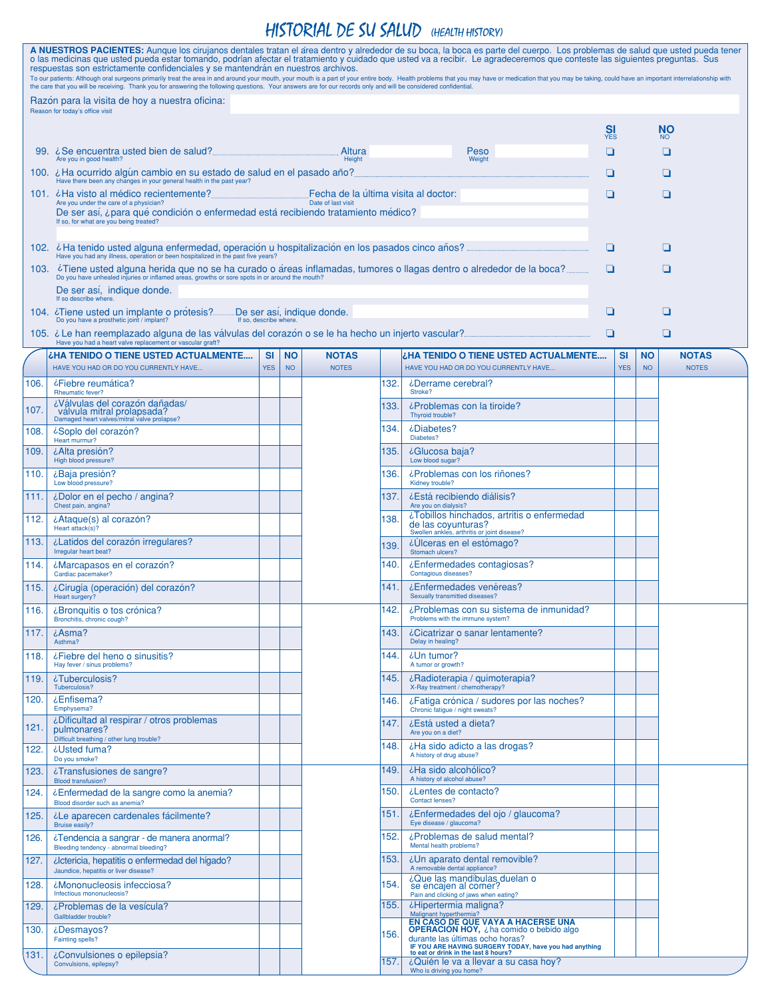## HISTORIAL DE SU SALUD (HEALTH HISTORY)

|                                                                                                                                                                                                                    | A NUESTROS PACIENTES: Aunque los cirujanos dentales tratan el área dentro y alrededor de su boca, la boca es parte del cuerpo. Los problemas de salud que usted pueda tener<br>o las medicinas que usted pueda estar tomando, podrían afectar el tratamiento y cuidado que usted va a recibir. Le agradeceremos que conteste las siguientes preguntas. Sus<br>respuestas son estrictamente confidenciales y se mantendrán en nuestros archivos.<br>To our patients: Although oral surgeons primarily treat the area in and around your mouth, your mouth is a part of your entire body. Health problems that you may have or medication that you may be taking, could have an imp |            |           |                            |      |                                                                                                                                                                           |                       |            |           |                |
|--------------------------------------------------------------------------------------------------------------------------------------------------------------------------------------------------------------------|-----------------------------------------------------------------------------------------------------------------------------------------------------------------------------------------------------------------------------------------------------------------------------------------------------------------------------------------------------------------------------------------------------------------------------------------------------------------------------------------------------------------------------------------------------------------------------------------------------------------------------------------------------------------------------------|------------|-----------|----------------------------|------|---------------------------------------------------------------------------------------------------------------------------------------------------------------------------|-----------------------|------------|-----------|----------------|
| the care that you will be receiving. Thank you for answering the following questions. Your answers are for our records only and will be considered confidential.<br>Razon para la visita de hoy a nuestra oficina: |                                                                                                                                                                                                                                                                                                                                                                                                                                                                                                                                                                                                                                                                                   |            |           |                            |      |                                                                                                                                                                           |                       |            |           |                |
|                                                                                                                                                                                                                    | Reason for today's office visit                                                                                                                                                                                                                                                                                                                                                                                                                                                                                                                                                                                                                                                   |            |           |                            |      |                                                                                                                                                                           |                       |            |           | <b>NO</b>      |
|                                                                                                                                                                                                                    | 99. <i>i</i> Se encuentra usted bien de salud?                                                                                                                                                                                                                                                                                                                                                                                                                                                                                                                                                                                                                                    |            |           | Altura                     |      | Peso                                                                                                                                                                      | <b>SI</b><br>YES<br>❏ |            |           | <b>NO</b><br>◘ |
|                                                                                                                                                                                                                    | Are you in good health?                                                                                                                                                                                                                                                                                                                                                                                                                                                                                                                                                                                                                                                           |            |           | Height                     |      | Weight                                                                                                                                                                    | □                     |            |           | ப              |
|                                                                                                                                                                                                                    | 100. $\epsilon$ Ha ocurrido algún cambio en su estado de salud en el pasado año?<br>Have there been any changes in your general health in the past year?                                                                                                                                                                                                                                                                                                                                                                                                                                                                                                                          |            |           |                            |      | ❏                                                                                                                                                                         |                       |            |           |                |
|                                                                                                                                                                                                                    | Fecha de la última visita al doctor:<br>101. Leta visto al médico recientemente?<br>Are you under the care of a physician?<br>Date of last visit<br>De ser así, ¿para qué condición o enfermedad está recibiendo tratamiento médico?<br>If so, for what are you being treated?                                                                                                                                                                                                                                                                                                                                                                                                    |            |           |                            |      |                                                                                                                                                                           |                       |            |           | ❏              |
|                                                                                                                                                                                                                    | 102. La tenido usted alguna enfermedad, operación u hospitalización en los pasados cinco años?                                                                                                                                                                                                                                                                                                                                                                                                                                                                                                                                                                                    |            |           |                            |      |                                                                                                                                                                           |                       |            |           | ❏              |
|                                                                                                                                                                                                                    | Have you had any illness, operation or been hospitalized in the past five years?<br>103. ¿Tiene usted alguna herida que no se ha curado o áreas inflamadas, tumores o llagas dentro o alrededor de la boca?                                                                                                                                                                                                                                                                                                                                                                                                                                                                       |            |           |                            |      |                                                                                                                                                                           | ◘                     |            |           | ◘              |
|                                                                                                                                                                                                                    | Do you have unhealed injuries or inflamed areas, growths or sore spots in or around the mouth?<br>De ser asi, indique donde.<br>If so describe where.                                                                                                                                                                                                                                                                                                                                                                                                                                                                                                                             |            |           |                            |      |                                                                                                                                                                           |                       |            |           |                |
|                                                                                                                                                                                                                    | 104. ¿Tiene usted un implante o protesis?.<br>Do you have a prosthetic joint / implant?<br>If so, describe where.                                                                                                                                                                                                                                                                                                                                                                                                                                                                                                                                                                 |            |           | De ser así, indique donde. |      |                                                                                                                                                                           | ❏                     |            |           | ❏              |
|                                                                                                                                                                                                                    | 105. ¿Le han reemplazado alguna de las válvulas del corazón o se le ha hecho un injerto vascular?.<br>Have you had a heart valve replacement or vascular graft?                                                                                                                                                                                                                                                                                                                                                                                                                                                                                                                   |            |           |                            |      |                                                                                                                                                                           | ◘                     |            |           | ❏              |
|                                                                                                                                                                                                                    | <b>¿HA TENIDO O TIENE USTED ACTUALMENTE</b>                                                                                                                                                                                                                                                                                                                                                                                                                                                                                                                                                                                                                                       | <b>SI</b>  | <b>NO</b> | <b>NOTAS</b>               |      | L'AA TENIDO O TIENE USTED ACTUALMENTE                                                                                                                                     |                       | SI         | <b>NO</b> | <b>NOTAS</b>   |
| 106.                                                                                                                                                                                                               | HAVE YOU HAD OR DO YOU CURRENTLY HAVE<br>¿Fiebre reumática?                                                                                                                                                                                                                                                                                                                                                                                                                                                                                                                                                                                                                       | <b>YES</b> | <b>NO</b> | <b>NOTES</b>               | 132. | HAVE YOU HAD OR DO YOU CURRENTLY HAVE<br>¿Derrame cerebral?                                                                                                               |                       | <b>YES</b> | <b>NO</b> | <b>NOTES</b>   |
| 107.                                                                                                                                                                                                               | <b>Rheumatic fever?</b><br>¿Válvulas del corazón dañadas/                                                                                                                                                                                                                                                                                                                                                                                                                                                                                                                                                                                                                         |            |           |                            | 133. | Stroke?<br>¿Problemas con la tiroide?                                                                                                                                     |                       |            |           |                |
| 108.                                                                                                                                                                                                               | válvula mitral prolapsada?<br>Damaged heart valves/mitral valve prolapse?<br>¿Soplo del corazon?                                                                                                                                                                                                                                                                                                                                                                                                                                                                                                                                                                                  |            |           |                            | 134. | Thyroid trouble?<br>¿Diabetes?                                                                                                                                            |                       |            |           |                |
| 109.                                                                                                                                                                                                               | Heart murmur?<br>¿Alta presión?                                                                                                                                                                                                                                                                                                                                                                                                                                                                                                                                                                                                                                                   |            |           |                            | 135. | Diabetes?<br>¿Glucosa baja?                                                                                                                                               |                       |            |           |                |
| 110.                                                                                                                                                                                                               | High blood pressure?<br>¿Baja presión?                                                                                                                                                                                                                                                                                                                                                                                                                                                                                                                                                                                                                                            |            |           |                            | 136. | Low blood sugar?<br>¿Problemas con los riñones?                                                                                                                           |                       |            |           |                |
| 111.                                                                                                                                                                                                               | Low blood pressure?                                                                                                                                                                                                                                                                                                                                                                                                                                                                                                                                                                                                                                                               |            |           |                            | 137. | Kidney trouble?<br>¿Está recibiendo diálisis?                                                                                                                             |                       |            |           |                |
|                                                                                                                                                                                                                    | ¿Dolor en el pecho / angina?<br>Chest pain, angina?                                                                                                                                                                                                                                                                                                                                                                                                                                                                                                                                                                                                                               |            |           |                            |      | Are you on dialysis?<br>¿Tobillos hinchados, artritis o enfermedad                                                                                                        |                       |            |           |                |
| 112.                                                                                                                                                                                                               | ¿Ataque(s) al corazón?<br>Heart attack(s)?                                                                                                                                                                                                                                                                                                                                                                                                                                                                                                                                                                                                                                        |            |           |                            | 138. | de las coyunturas?<br>Swollen ankles, arthritis or joint disease?                                                                                                         |                       |            |           |                |
| 113.                                                                                                                                                                                                               | ¿Latidos del corazón irregulares?<br>Irregular heart beat?                                                                                                                                                                                                                                                                                                                                                                                                                                                                                                                                                                                                                        |            |           |                            | 139. | ¿Ulceras en el estomago?<br>Stomach ulcers?                                                                                                                               |                       |            |           |                |
| 114.                                                                                                                                                                                                               | ¿Marcapasos en el corazón?<br>Cardiac pacemaker?                                                                                                                                                                                                                                                                                                                                                                                                                                                                                                                                                                                                                                  |            |           |                            | 140. | ¿Enfermedades contagiosas?<br>Contagious diseases?                                                                                                                        |                       |            |           |                |
| 115.                                                                                                                                                                                                               | ¿Cirugía (operación) del corazón?<br>Heart surgery?                                                                                                                                                                                                                                                                                                                                                                                                                                                                                                                                                                                                                               |            |           |                            | 141. | ¿Enfermedades venéreas?<br>Sexually transmitted diseases?                                                                                                                 |                       |            |           |                |
| 116.                                                                                                                                                                                                               | ¿Bronquitis o tos crónica?<br>Bronchitis, chronic cough?                                                                                                                                                                                                                                                                                                                                                                                                                                                                                                                                                                                                                          |            |           |                            | 142. | ¿Problemas con su sistema de inmunidad?<br>Problems with the immune system?                                                                                               |                       |            |           |                |
| 117.                                                                                                                                                                                                               | ¿Asma?<br>Asthma?                                                                                                                                                                                                                                                                                                                                                                                                                                                                                                                                                                                                                                                                 |            |           |                            | 143. | ¿Cicatrizar o sanar lentamente?<br>Delay in healing?                                                                                                                      |                       |            |           |                |
| 118.                                                                                                                                                                                                               | ¿Fiebre del heno o sinusitis?<br>Hay fever / sinus problems?                                                                                                                                                                                                                                                                                                                                                                                                                                                                                                                                                                                                                      |            |           |                            | 144. | ¿Un tumor?<br>A tumor or growth?                                                                                                                                          |                       |            |           |                |
| 119.                                                                                                                                                                                                               | ¿Tuberculosis?<br>Tuberculosis?                                                                                                                                                                                                                                                                                                                                                                                                                                                                                                                                                                                                                                                   |            |           |                            | 145. | ¿Radioterapia / quimoterapia?<br>X-Ray treatment / chemotherapy?                                                                                                          |                       |            |           |                |
| 120.                                                                                                                                                                                                               | ¿Enfisema?<br>Emphysema?                                                                                                                                                                                                                                                                                                                                                                                                                                                                                                                                                                                                                                                          |            |           |                            | 146. | ¿Fatiga crónica / sudores por las noches?<br>Chronic fatigue / night sweats?                                                                                              |                       |            |           |                |
| 121.                                                                                                                                                                                                               | ¿Dificultad al respirar / otros problemas<br>pulmonares?<br>Difficult breathing / other lung trouble?                                                                                                                                                                                                                                                                                                                                                                                                                                                                                                                                                                             |            |           |                            | 147. | ¿Está usted a dieta?<br>Are you on a diet?                                                                                                                                |                       |            |           |                |
| 122.                                                                                                                                                                                                               | ¿Usted fuma?<br>Do you smoke?                                                                                                                                                                                                                                                                                                                                                                                                                                                                                                                                                                                                                                                     |            |           |                            | 148. | ¿Ha sido adicto a las drogas?<br>A history of drug abuse?                                                                                                                 |                       |            |           |                |
| 123.                                                                                                                                                                                                               | ¿Transfusiones de sangre?<br><b>Blood transfusion?</b>                                                                                                                                                                                                                                                                                                                                                                                                                                                                                                                                                                                                                            |            |           |                            | 149. | ¿Ha sido alcohólico?<br>A history of alcohol abuse?                                                                                                                       |                       |            |           |                |
| 124.                                                                                                                                                                                                               | ¿Enfermedad de la sangre como la anemia?<br>Blood disorder such as anemia?                                                                                                                                                                                                                                                                                                                                                                                                                                                                                                                                                                                                        |            |           |                            | 150. | ¿Lentes de contacto?<br>Contact lenses?                                                                                                                                   |                       |            |           |                |
| 125.                                                                                                                                                                                                               | Le aparecen cardenales fácilmente?<br>Bruise easily?                                                                                                                                                                                                                                                                                                                                                                                                                                                                                                                                                                                                                              |            |           |                            | 151. | ¿Enfermedades del ojo / glaucoma?<br>Eye disease / glaucoma?                                                                                                              |                       |            |           |                |
| 126.                                                                                                                                                                                                               | ¿Tendencia a sangrar - de manera anormal?<br>Bleeding tendency - abnormal bleeding?                                                                                                                                                                                                                                                                                                                                                                                                                                                                                                                                                                                               |            |           |                            | 152. | ¿Problemas de salud mental?<br>Mental health problems?                                                                                                                    |                       |            |           |                |
| 127.                                                                                                                                                                                                               | ¿lctericia, hepatitis o enfermedad del hígado?<br>Jaundice, hepatitis or liver disease?                                                                                                                                                                                                                                                                                                                                                                                                                                                                                                                                                                                           |            |           |                            | 153. | ¿Un aparato dental removible?<br>A removable dental appliance?                                                                                                            |                       |            |           |                |
| 128.                                                                                                                                                                                                               | ¿Mononucleosis infecciosa?<br>Infectious mononucleosis?                                                                                                                                                                                                                                                                                                                                                                                                                                                                                                                                                                                                                           |            |           |                            | 154. | ¿Que las mandíbulas duelan o<br>se encajen al comer?<br>Pain and clicking of jaws when eating?                                                                            |                       |            |           |                |
| 129.                                                                                                                                                                                                               | ¿Problemas de la vesícula?<br>Gallbladder trouble?                                                                                                                                                                                                                                                                                                                                                                                                                                                                                                                                                                                                                                |            |           |                            | 155. | ¿Hipertermia maligna?<br>Malignant hyperthermia?                                                                                                                          |                       |            |           |                |
| 130.                                                                                                                                                                                                               | ¿Desmayos?<br>Fainting spells?                                                                                                                                                                                                                                                                                                                                                                                                                                                                                                                                                                                                                                                    |            |           |                            | 156. | EN CASO DE QUE VAYA A HACERSE UNA<br>OPERACIÓN HOY, ¿ha comido o bebido algo<br>durante las últimas ocho horas?<br>IF YOU ARE HAVING SURGERY TODAY, have you had anything |                       |            |           |                |
| 131.                                                                                                                                                                                                               | ¿Convulsiones o epilepsia?<br>Convulsions, epilepsy?                                                                                                                                                                                                                                                                                                                                                                                                                                                                                                                                                                                                                              |            |           |                            | 157. | to eat or drink in the last 8 hours?<br>¿Quién le va a llevar a su casa hoy?<br>Who is driving you home?                                                                  |                       |            |           |                |